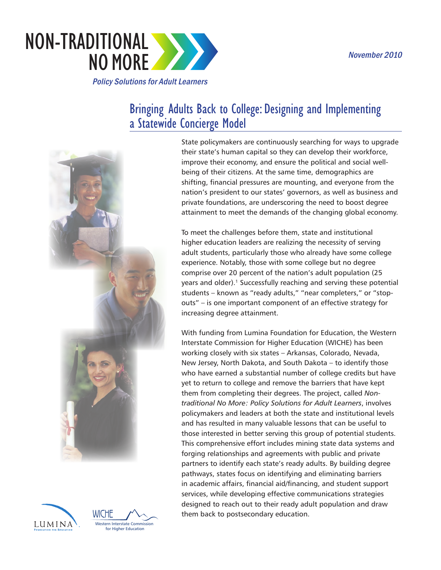

# Bringing   Adults  Back  to  College:  Designing  and  Implementing a  Statewide  Concierge  Model





State policymakers are continuously searching for ways to upgrade their state's human capital so they can develop their workforce, improve their economy, and ensure the political and social wellbeing of their citizens. At the same time, demographics are shifting, financial pressures are mounting, and everyone from the nation's president to our states' governors, as well as business and private foundations, are underscoring the need to boost degree attainment to meet the demands of the changing global economy.

To meet the challenges before them, state and institutional higher education leaders are realizing the necessity of serving adult students, particularly those who already have some college experience. Notably, those with some college but no degree comprise over 20 percent of the nation's adult population (25 years and older).<sup>1</sup> Successfully reaching and serving these potential students – known as "ready adults," "near completers," or "stopouts" – is one important component of an effective strategy for increasing degree attainment.

With funding from Lumina Foundation for Education, the Western Interstate Commission for Higher Education (WICHE) has been working closely with six states – Arkansas, Colorado, Nevada, New Jersey, North Dakota, and South Dakota – to identify those who have earned a substantial number of college credits but have yet to return to college and remove the barriers that have kept them from completing their degrees. The project, called *Nontraditional No More: Policy Solutions for Adult Learners*, involves policymakers and leaders at both the state and institutional levels and has resulted in many valuable lessons that can be useful to those interested in better serving this group of potential students. This comprehensive effort includes mining state data systems and forging relationships and agreements with public and private partners to identify each state's ready adults. By building degree pathways, states focus on identifying and eliminating barriers in academic affairs, financial aid/financing, and student support services, while developing effective communications strategies designed to reach out to their ready adult population and draw WICHE  $\bigwedge^{\prime}\bigwedge_{\frown}$  them back to postsecondary education.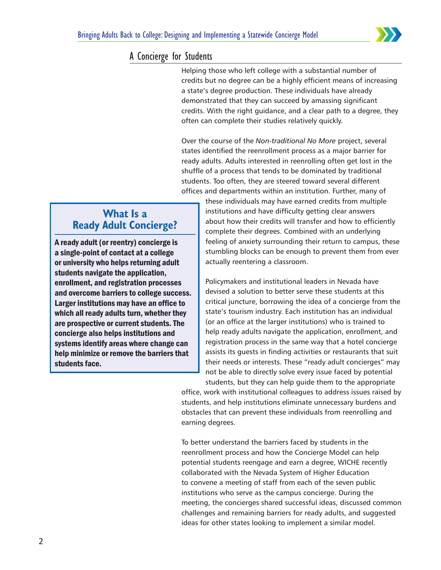

### A Concierge for Students

Helping those who left college with a substantial number of credits but no degree can be a highly efficient means of increasing a state's degree production. These individuals have already demonstrated that they can succeed by amassing significant credits. With the right guidance, and a clear path to a degree, they often can complete their studies relatively quickly.

Over the course of the *Non-traditional No More* project, several states identified the reenrollment process as a major barrier for ready adults. Adults interested in reenrolling often get lost in the shuffle of a process that tends to be dominated by traditional students. Too often, they are steered toward several different offices and departments within an institution. Further, many of

## **What Is a Ready Adult Concierge?**

A ready adult (or reentry) concierge is a single-point of contact at a college or university who helps returning adult students navigate the application, enrollment, and registration processes and overcome barriers to college success. Larger institutions may have an office to which all ready adults turn, whether they are prospective or current students. The concierge also helps institutions and systems identify areas where change can help minimize or remove the barriers that students face.

these individuals may have earned credits from multiple institutions and have difficulty getting clear answers about how their credits will transfer and how to efficiently complete their degrees. Combined with an underlying feeling of anxiety surrounding their return to campus, these stumbling blocks can be enough to prevent them from ever actually reentering a classroom.

Policymakers and institutional leaders in Nevada have devised a solution to better serve these students at this critical juncture, borrowing the idea of a concierge from the state's tourism industry. Each institution has an individual (or an office at the larger institutions) who is trained to help ready adults navigate the application, enrollment, and registration process in the same way that a hotel concierge assists its guests in finding activities or restaurants that suit their needs or interests. These "ready adult concierges" may not be able to directly solve every issue faced by potential

students, but they can help guide them to the appropriate office, work with institutional colleagues to address issues raised by students, and help institutions eliminate unnecessary burdens and obstacles that can prevent these individuals from reenrolling and earning degrees.

To better understand the barriers faced by students in the reenrollment process and how the Concierge Model can help potential students reengage and earn a degree, WICHE recently collaborated with the Nevada System of Higher Education to convene a meeting of staff from each of the seven public institutions who serve as the campus concierge. During the meeting, the concierges shared successful ideas, discussed common challenges and remaining barriers for ready adults, and suggested ideas for other states looking to implement a similar model.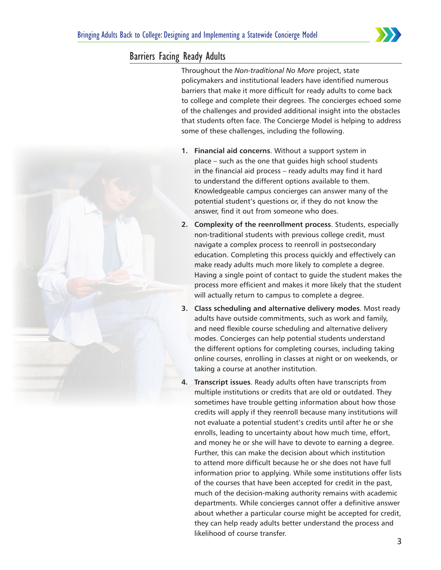

#### Barriers Facing Ready Adults

Throughout the *Non-traditional No More* project, state policymakers and institutional leaders have identified numerous barriers that make it more difficult for ready adults to come back to college and complete their degrees. The concierges echoed some of the challenges and provided additional insight into the obstacles that students often face. The Concierge Model is helping to address some of these challenges, including the following.

- **1. Financial aid concerns**. Without a support system in place – such as the one that guides high school students in the financial aid process – ready adults may find it hard to understand the different options available to them. Knowledgeable campus concierges can answer many of the potential student's questions or, if they do not know the answer, find it out from someone who does.
- **2. Complexity of the reenrollment process**. Students, especially non-traditional students with previous college credit, must navigate a complex process to reenroll in postsecondary education. Completing this process quickly and effectively can make ready adults much more likely to complete a degree. Having a single point of contact to guide the student makes the process more efficient and makes it more likely that the student will actually return to campus to complete a degree.
- **3. Class scheduling and alternative delivery modes**. Most ready adults have outside commitments, such as work and family, and need flexible course scheduling and alternative delivery modes. Concierges can help potential students understand the different options for completing courses, including taking online courses, enrolling in classes at night or on weekends, or taking a course at another institution.
- **4. Transcript issues**. Ready adults often have transcripts from multiple institutions or credits that are old or outdated. They sometimes have trouble getting information about how those credits will apply if they reenroll because many institutions will not evaluate a potential student's credits until after he or she enrolls, leading to uncertainty about how much time, effort, and money he or she will have to devote to earning a degree. Further, this can make the decision about which institution to attend more difficult because he or she does not have full information prior to applying. While some institutions offer lists of the courses that have been accepted for credit in the past, much of the decision-making authority remains with academic departments. While concierges cannot offer a definitive answer about whether a particular course might be accepted for credit, they can help ready adults better understand the process and likelihood of course transfer.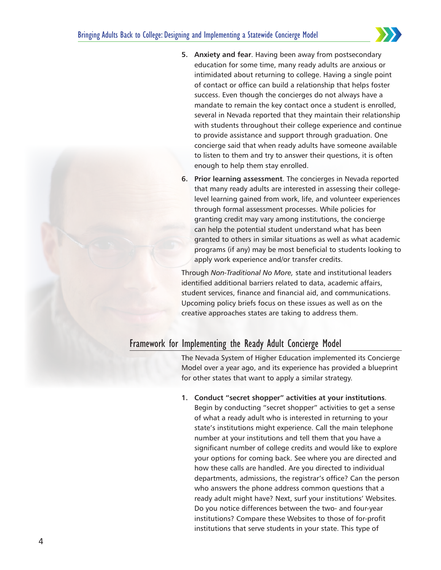

- **5. Anxiety and fear.** Having been away from postsecondary education for some time, many ready adults are anxious or intimidated about returning to college. Having a single point of contact or office can build a relationship that helps foster success. Even though the concierges do not always have a mandate to remain the key contact once a student is enrolled, several in Nevada reported that they maintain their relationship with students throughout their college experience and continue to provide assistance and support through graduation. One concierge said that when ready adults have someone available to listen to them and try to answer their questions, it is often enough to help them stay enrolled.
- **6. Prior learning assessment**. The concierges in Nevada reported that many ready adults are interested in assessing their collegelevel learning gained from work, life, and volunteer experiences through formal assessment processes. While policies for granting credit may vary among institutions, the concierge can help the potential student understand what has been granted to others in similar situations as well as what academic programs (if any) may be most beneficial to students looking to apply work experience and/or transfer credits.

Through *Non-Traditional No More,* state and institutional leaders identified additional barriers related to data, academic affairs, student services, finance and financial aid, and communications. Upcoming policy briefs focus on these issues as well as on the creative approaches states are taking to address them.

### Framework for Implementing the Ready Adult Concierge Model

The Nevada System of Higher Education implemented its Concierge Model over a year ago, and its experience has provided a blueprint for other states that want to apply a similar strategy.

**1. Conduct "secret shopper" activities at your institutions**. Begin by conducting "secret shopper" activities to get a sense of what a ready adult who is interested in returning to your state's institutions might experience. Call the main telephone number at your institutions and tell them that you have a significant number of college credits and would like to explore your options for coming back. See where you are directed and how these calls are handled. Are you directed to individual departments, admissions, the registrar's office? Can the person who answers the phone address common questions that a ready adult might have? Next, surf your institutions' Websites. Do you notice differences between the two- and four-year institutions? Compare these Websites to those of for-profit institutions that serve students in your state. This type of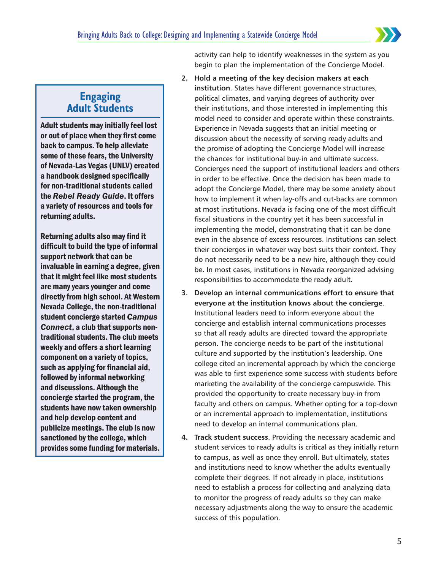

#### **Engaging Adult Students**

Adult students may initially feel lost or out of place when they first come back to campus. To help alleviate some of these fears, the University of Nevada-Las Vegas (UNLV) created a handbook designed specifically for non-traditional students called the *Rebel Ready Guide*. It offers a variety of resources and tools for returning adults.

Returning adults also may find it difficult to build the type of informal support network that can be invaluable in earning a degree, given that it might feel like most students are many years younger and come directly from high school. At Western Nevada College, the non-traditional student concierge started *Campus Connect*, a club that supports nontraditional students. The club meets weekly and offers a short learning component on a variety of topics, such as applying for financial aid, followed by informal networking and discussions. Although the concierge started the program, the students have now taken ownership and help develop content and publicize meetings. The club is now sanctioned by the college, which provides some funding for materials. activity can help to identify weaknesses in the system as you begin to plan the implementation of the Concierge Model.

- **2. Hold a meeting of the key decision makers at each institution**. States have different governance structures, political climates, and varying degrees of authority over their institutions, and those interested in implementing this model need to consider and operate within these constraints. Experience in Nevada suggests that an initial meeting or discussion about the necessity of serving ready adults and the promise of adopting the Concierge Model will increase the chances for institutional buy-in and ultimate success. Concierges need the support of institutional leaders and others in order to be effective. Once the decision has been made to adopt the Concierge Model, there may be some anxiety about how to implement it when lay-offs and cut-backs are common at most institutions. Nevada is facing one of the most difficult fiscal situations in the country yet it has been successful in implementing the model, demonstrating that it can be done even in the absence of excess resources. Institutions can select their concierges in whatever way best suits their context. They do not necessarily need to be a new hire, although they could be. In most cases, institutions in Nevada reorganized advising responsibilities to accommodate the ready adult.
- **3. Develop an internal communications effort to ensure that everyone at the institution knows about the concierge**. Institutional leaders need to inform everyone about the concierge and establish internal communications processes so that all ready adults are directed toward the appropriate person. The concierge needs to be part of the institutional culture and supported by the institution's leadership. One college cited an incremental approach by which the concierge was able to first experience some success with students before marketing the availability of the concierge campuswide. This provided the opportunity to create necessary buy-in from faculty and others on campus. Whether opting for a top-down or an incremental approach to implementation, institutions need to develop an internal communications plan.
- **4. Track student success**. Providing the necessary academic and student services to ready adults is critical as they initially return to campus, as well as once they enroll. But ultimately, states and institutions need to know whether the adults eventually complete their degrees. If not already in place, institutions need to establish a process for collecting and analyzing data to monitor the progress of ready adults so they can make necessary adjustments along the way to ensure the academic success of this population.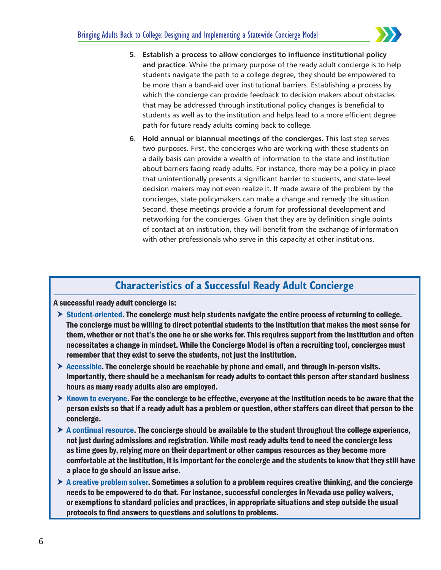

- **5. Establish a process to allow concierges to influence institutional policy and practice**. While the primary purpose of the ready adult concierge is to help students navigate the path to a college degree, they should be empowered to be more than a band-aid over institutional barriers. Establishing a process by which the concierge can provide feedback to decision makers about obstacles that may be addressed through institutional policy changes is beneficial to students as well as to the institution and helps lead to a more efficient degree path for future ready adults coming back to college.
- **6. Hold annual or biannual meetings of the concierges**. This last step serves two purposes. First, the concierges who are working with these students on a daily basis can provide a wealth of information to the state and institution about barriers facing ready adults. For instance, there may be a policy in place that unintentionally presents a significant barrier to students, and state-level decision makers may not even realize it. If made aware of the problem by the concierges, state policymakers can make a change and remedy the situation. Second, these meetings provide a forum for professional development and networking for the concierges. Given that they are by definition single points of contact at an institution, they will benefit from the exchange of information with other professionals who serve in this capacity at other institutions.

## **Characteristics of a Successful Ready Adult Concierge**

A successful ready adult concierge is:

- $\triangleright$  Student-oriented. The concierge must help students navigate the entire process of returning to college. The concierge must be willing to direct potential students to the institution that makes the most sense for them, whether or not that's the one he or she works for. This requires support from the institution and often necessitates a change in mindset. While the Concierge Model is often a recruiting tool, concierges must remember that they exist to serve the students, not just the institution.
- $\triangleright$  Accessible. The concierge should be reachable by phone and email, and through in-person visits. Importantly, there should be a mechanism for ready adults to contact this person after standard business hours as many ready adults also are employed.
- $\triangleright$  Known to everyone. For the concierge to be effective, everyone at the institution needs to be aware that the person exists so that if a ready adult has a problem or question, other staffers can direct that person to the concierge.
- $\triangleright$  A continual resource. The concierge should be available to the student throughout the college experience, not just during admissions and registration. While most ready adults tend to need the concierge less as time goes by, relying more on their department or other campus resources as they become more comfortable at the institution, it is important for the concierge and the students to know that they still have a place to go should an issue arise.
- $\triangleright$  A creative problem solver. Sometimes a solution to a problem requires creative thinking, and the concierge needs to be empowered to do that. For instance, successful concierges in Nevada use policy waivers, or exemptions to standard policies and practices, in appropriate situations and step outside the usual protocols to find answers to questions and solutions to problems.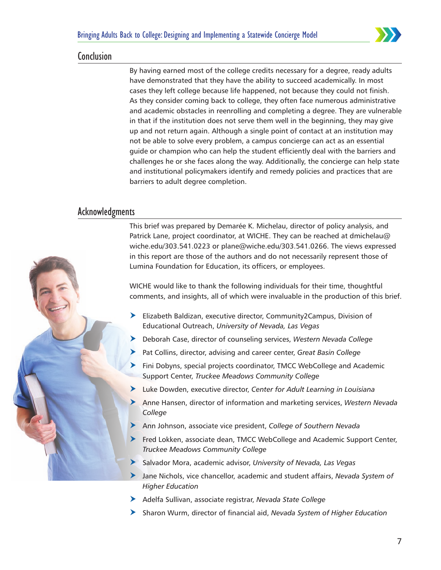

#### Conclusion

By having earned most of the college credits necessary for a degree, ready adults have demonstrated that they have the ability to succeed academically. In most cases they left college because life happened, not because they could not finish. As they consider coming back to college, they often face numerous administrative and academic obstacles in reenrolling and completing a degree. They are vulnerable in that if the institution does not serve them well in the beginning, they may give up and not return again. Although a single point of contact at an institution may not be able to solve every problem, a campus concierge can act as an essential guide or champion who can help the student efficiently deal with the barriers and challenges he or she faces along the way. Additionally, the concierge can help state and institutional policymakers identify and remedy policies and practices that are barriers to adult degree completion.

#### Acknowledgments



This brief was prepared by Demarée K. Michelau, director of policy analysis, and Patrick Lane, project coordinator, at WICHE. They can be reached at dmichelau@ wiche.edu/303.541.0223 or plane@wiche.edu/303.541.0266. The views expressed in this report are those of the authors and do not necessarily represent those of Lumina Foundation for Education, its officers, or employees.

WICHE would like to thank the following individuals for their time, thoughtful comments, and insights, all of which were invaluable in the production of this brief.

- $\blacktriangleright$  Elizabeth Baldizan, executive director, Community2Campus, Division of Educational Outreach, *University of Nevada, Las Vegas*
- h Deborah Case, director of counseling services, *Western Nevada College*
- Pat Collins, director, advising and career center, *Great Basin College*
- $\blacktriangleright$  Fini Dobyns, special projects coordinator, TMCC WebCollege and Academic Support Center, *Truckee Meadows Community College*
- h Luke Dowden, executive director, *Center for Adult Learning in Louisiana*
- h Anne Hansen, director of information and marketing services, *Western Nevada College*
- h Ann Johnson, associate vice president, *College of Southern Nevada*
- **h** Fred Lokken, associate dean, TMCC WebCollege and Academic Support Center, *Truckee Meadows Community College*
- h Salvador Mora, academic advisor, *University of Nevada, Las Vegas*
- h Jane Nichols, vice chancellor, academic and student affairs, *Nevada System of Higher Education*
- h Adelfa Sullivan, associate registrar, *Nevada State College*
- h Sharon Wurm, director of financial aid, *Nevada System of Higher Education*